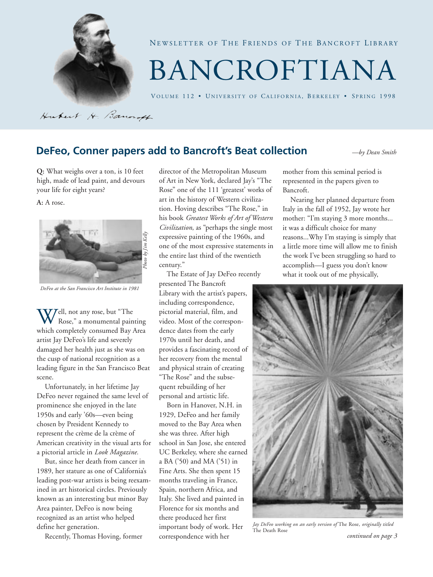

NEWSLETTER OF THE FRIENDS OF THE BANCROFT LIBRARY

# BANCROFTIANA

VOLUME 112 · UNIVERSITY OF CALIFORNIA, BERKELEY · SPRING 1998

Hubert H. Bancroft

### **DeFeo, Conner papers add to Bancroft's Beat collection** *—by Dean Smith*

**Q:** What weighs over a ton, is 10 feet high, made of lead paint, and devours your life for eight years?

**A:** A rose.



*DeFeo at the San Francisco Art Institute in 1981*

**Well, not any rose, but "The Rose," a monumental pair**<br>which completely consumed Bay Rose," a monumental painting which completely consumed Bay Area artist Jay DeFeo's life and severely damaged her health just as she was on the cusp of national recognition as a leading figure in the San Francisco Beat scene.

Unfortunately, in her lifetime Jay DeFeo never regained the same level of prominence she enjoyed in the late 1950s and early '60s—even being chosen by President Kennedy to represent the crème de la crème of American creativity in the visual arts for a pictorial article in *Look Magazine.*

But, since her death from cancer in 1989, her stature as one of California's leading post-war artists is being reexamined in art historical circles. Previously known as an interesting but minor Bay Area painter, DeFeo is now being recognized as an artist who helped define her generation.

Recently, Thomas Hoving, former

director of the Metropolitan Museum of Art in New York, declared Jay's "The Rose" one of the 111 'greatest' works of art in the history of Western civilization. Hoving describes "The Rose," in his book *Greatest Works of Art of Western Civilization*, as "perhaps the single most expressive painting of the 1960s, and one of the most expressive statements in the entire last third of the twentieth century."

The Estate of Jay DeFeo recently presented The Bancroft Library with the artist's papers, including correspondence, pictorial material, film, and video. Most of the correspondence dates from the early 1970s until her death, and provides a fascinating record of her recovery from the mental and physical strain of creating "The Rose" and the subsequent rebuilding of her personal and artistic life.

Born in Hanover, N.H. in 1929, DeFeo and her family moved to the Bay Area when she was three. After high school in San Jose, she entered UC Berkeley, where she earned a BA ('50) and MA ('51) in Fine Arts. She then spent 15 months traveling in France, Spain, northern Africa, and Italy. She lived and painted in Florence for six months and there produced her first important body of work. Her correspondence with her

mother from this seminal period is represented in the papers given to Bancroft.

Nearing her planned departure from Italy in the fall of 1952, Jay wrote her mother: "I'm staying 3 more months... it was a difficult choice for many reasons...Why I'm staying is simply that a little more time will allow me to finish the work I've been struggling so hard to accomplish—I guess you don't know what it took out of me physically,



 *continued on page 3 Jay DeFeo working on an early version of* The Rose, *originally titled* The Death Rose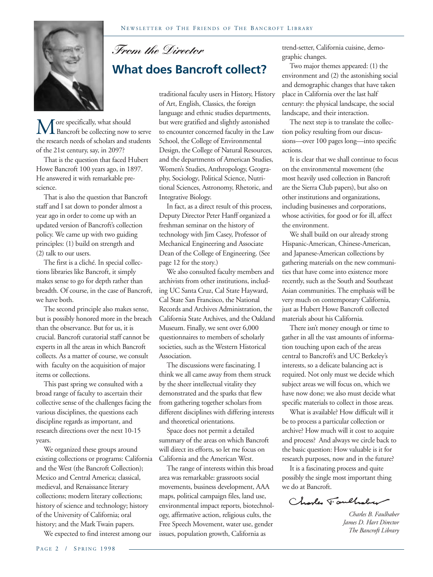

M ore specifically, what should<br>the research needs of scholars and students Bancroft be collecting now to serve of the 21st century, say, in 2097?

That is the question that faced Hubert Howe Bancroft 100 years ago, in 1897. He answered it with remarkable prescience.

That is also the question that Bancroft staff and I sat down to ponder almost a year ago in order to come up with an updated version of Bancroft's collection policy. We came up with two guiding principles: (1) build on strength and (2) talk to our users.

The first is a cliché. In special collections libraries like Bancroft, it simply makes sense to go for depth rather than breadth. Of course, in the case of Bancroft, we have both.

The second principle also makes sense, but is possibly honored more in the breach than the observance. But for us, it is crucial. Bancroft curatorial staff cannot be experts in all the areas in which Bancroft collects. As a matter of course, we consult with faculty on the acquisition of major items or collections.

This past spring we consulted with a broad range of faculty to ascertain their collective sense of the challenges facing the various disciplines, the questions each discipline regards as important, and research directions over the next 10-15 years.

We organized these groups around existing collections or programs: California and the West (the Bancroft Collection); Mexico and Central America; classical, medieval, and Renaissance literary collections; modern literary collections; history of science and technology; history of the University of California; oral history; and the Mark Twain papers.

We expected to find interest among our

 *From the Director*

### **What does Bancroft collect?**

traditional faculty users in History, History of Art, English, Classics, the foreign language and ethnic studies departments, but were gratified and slightly astonished to encounter concerned faculty in the Law School, the College of Environmental Design, the College of Natural Resources, and the departments of American Studies, Women's Studies, Anthropology, Geography, Sociology, Political Science, Nutritional Sciences, Astronomy, Rhetoric, and Integrative Biology.

In fact, as a direct result of this process, Deputy Director Peter Hanff organized a freshman seminar on the history of technology with Jim Casey, Professor of Mechanical Engineering and Associate Dean of the College of Engineering. (See page 12 for the story.)

We also consulted faculty members and archivists from other institutions, including UC Santa Cruz, Cal State Hayward, Cal State San Francisco, the National Records and Archives Administration, the California State Archives, and the Oakland Museum. Finally, we sent over 6,000 questionnaires to members of scholarly societies, such as the Western Historical Association.

The discussions were fascinating. I think we all came away from them struck by the sheer intellectual vitality they demonstrated and the sparks that flew from gathering together scholars from different disciplines with differing interests and theoretical orientations.

Space does not permit a detailed summary of the areas on which Bancroft will direct its efforts, so let me focus on California and the American West.

The range of interests within this broad area was remarkable: grassroots social movements, business development, AAA maps, political campaign files, land use, environmental impact reports, biotechnology, affirmative action, religious cults, the Free Speech Movement, water use, gender issues, population growth, California as

trend-setter, California cuisine, demographic changes.

Two major themes appeared: (1) the environment and (2) the astonishing social and demographic changes that have taken place in California over the last half century: the physical landscape, the social landscape, and their interaction.

The next step is to translate the collection policy resulting from our discussions—over 100 pages long—into specific actions.

It is clear that we shall continue to focus on the environmental movement (the most heavily used collection in Bancroft are the Sierra Club papers), but also on other institutions and organizations, including businesses and corporations, whose activities, for good or for ill, affect the environment.

We shall build on our already strong Hispanic-American, Chinese-American, and Japanese-American collections by gathering materials on the new communities that have come into existence more recently, such as the South and Southeast Asian communities. The emphasis will be very much on contemporary California, just as Hubert Howe Bancroft collected materials about his California.

There isn't money enough or time to gather in all the vast amounts of information touching upon each of the areas central to Bancroft's and UC Berkeley's interests, so a delicate balancing act is required. Not only must we decide which subject areas we will focus on, which we have now done; we also must decide what specific materials to collect in those areas.

What is available? How difficult will it be to process a particular collection or archive? How much will it cost to acquire and process? And always we circle back to the basic question: How valuable is it for research purposes, now and in the future?

It is a fascinating process and quite possibly the single most important thing we do at Bancroft.

Charles Vaulhaber

*Charles B. Faulhaber James D. Hart Director The Bancroft Library*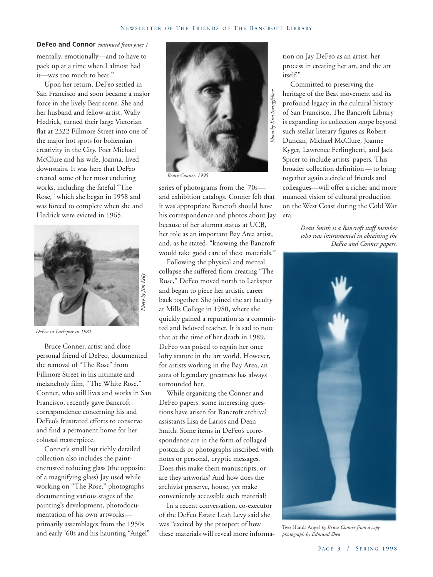#### **DeFeo and Connor** *continued from page 1*

mentally, emotionally—and to have to pack up at a time when I almost had it—was too much to bear."

Upon her return, DeFeo settled in San Francisco and soon became a major force in the lively Beat scene. She and her husband and fellow-artist, Wally Hedrick, turned their large Victorian flat at 2322 Fillmore Street into one of the major hot spots for bohemian creativity in the City. Poet Michael McClure and his wife, Joanna, lived downstairs. It was here that DeFeo created some of her most enduring works, including the fateful "The Rose," which she began in 1958 and was forced to complete when she and Hedrick were evicted in 1965.



*DeFeo in Larkspur in 1981*

Bruce Conner, artist and close personal friend of DeFeo, documented the removal of "The Rose" from Fillmore Street in his intimate and melancholy film, "The White Rose." Conner, who still lives and works in San Francisco, recently gave Bancroft correspondence concerning his and DeFeo's frustrated efforts to conserve and find a permanent home for her colossal masterpiece.

Conner's small but richly detailed collection also includes the paintencrusted reducing glass (the opposite of a magnifying glass) Jay used while working on "The Rose," photographs documenting various stages of the painting's development, photodocumentation of his own artworks primarily assemblages from the 1950s and early '60s and his haunting "Angel"



*Bruce Conner, 1995*

series of photograms from the '70s and exhibition catalogs. Conner felt that it was appropriate Bancroft should have his correspondence and photos about Jay because of her alumna status at UCB, her role as an important Bay Area artist, and, as he stated, "knowing the Bancroft would take good care of these materials."

Following the physical and mental collapse she suffered from creating "The Rose," DeFeo moved north to Larkspur and began to piece her artistic career back together. She joined the art faculty at Mills College in 1980, where she quickly gained a reputation as a committed and beloved teacher. It is sad to note that at the time of her death in 1989, DeFeo was poised to regain her once lofty stature in the art world. However, for artists working in the Bay Area, an aura of legendary greatness has always surrounded her.

While organizing the Conner and DeFeo papers, some interesting questions have arisen for Bancroft archival assistants Lisa de Larios and Dean Smith. Some items in DeFeo's correspondence are in the form of collaged postcards or photographs inscribed with notes or personal, cryptic messages. Does this make them manuscripts, or are they artworks? And how does the archivist preserve, house, yet make conveniently accessible such material?

In a recent conversation, co-executor of the DeFeo Estate Leah Levy said she was "excited by the prospect of how these materials will reveal more information on Jay DeFeo as an artist, her process in creating her art, and the art itself."

Committed to preserving the heritage of the Beat movement and its profound legacy in the cultural history of San Francisco, The Bancroft Library is expanding its collection scope beyond such stellar literary figures as Robert Duncan, Michael McClure, Joanne Kyger, Lawrence Ferlinghetti, and Jack Spicer to include artists' papers. This broader collection definition— to bring together again a circle of friends and colleagues—will offer a richer and more nuanced vision of cultural production on the West Coast during the Cold War era.

> *Dean Smith is a Bancroft staff member who was instrumental in obtaining the DeFeo and Conner papers.*



Two Hands Angel *by Bruce Conner from a copy photograph by Edmund Shea*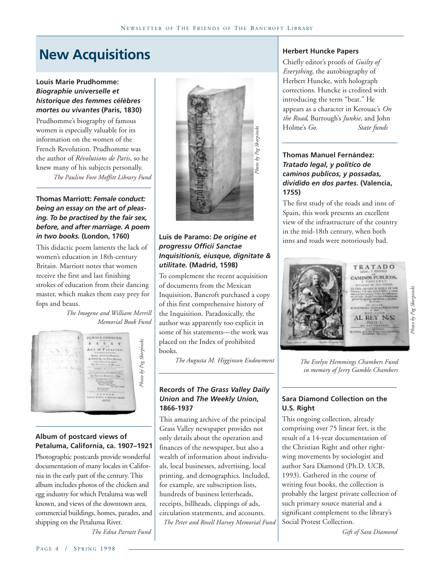### **New Acquisitions**

### **Louis Marie Prudhomme:** *Biographie universelle et historique des femmes célèbres mortes ou vivantes* **(Paris, 1830)**

Prudhomme's biography of famous women is especially valuable for its information on the women of the French Revolution. Prudhomme was the author of *Révolutions de Paris*, so he knew many of his subjects personally. *The Pauline Fore Moffitt Library Fund*

### **Thomas Marriott:** *Female conduct: being an essay on the art of pleasing. To be practised by the fair sex, before, and after marriage. A poem in two books.* **(London, 1760)**

This didactic poem laments the lack of women's education in 18th-century Britain. Marriott notes that women receive the first and last finishing strokes of education from their dancing master, which makes them easy prey for fops and beaus.

> *The Imogene and William Merrill Memorial Book Fund*



### **Album of postcard views of Petaluma, California, ca. 1907–1921**

Photographic postcards provide wonderful documentation of many locales in California in the early part of the century. This album includes photos of the chicken and egg industry for which Petaluma was well known, and views of the downtown area, commercial buildings, homes, parades, and shipping on the Petaluma River.

*The Edna Parratt Fund*



### **Luis de Paramo:** *De origine et progressu Officii Sanctae Inquisitionis, eiusque, dignitate & utilitate.* **(Madrid, 1598)**

To complement the recent acquisition of documents from the Mexican Inquisition, Bancroft purchased a copy of this first comprehensive history of the Inquisition. Paradoxically, the author was apparently too explicit in some of his statements—the work was placed on the Index of prohibited books.

*The Augusta M. Higginson Endowment*

### **Records of** *The Grass Valley Daily Union* **and** *The Weekly Union,* **1866-1937**

This amazing archive of the principal Grass Valley newspaper provides not only details about the operation and finances of the newspaper, but also a wealth of information about individuals, local businesses, advertising, local printing, and demographics. Included, for example, are subscription lists, hundreds of business letterheads, receipts, billheads, clippings of ads, circulation statements, and accounts. *The Peter and Rosell Harvey Memorial Fund* **Herbert Huncke Papers**

Chiefly editor's proofs of *Guilty of Everything*, the autobiography of Herbert Huncke, with holograph corrections. Huncke is credited with introducing the term "beat." He appears as a character in Kerouac's *On the Road*, Burrough's *Junkie*, and John Holme's *Go*. *State funds*

### **Thomas Manuel Fernández:** *Tratado legal, y politico de caminos publicos, y possadas, dividido en dos partes.* **(Valencia, 1755)**

The first study of the roads and inns of Spain, this work presents an excellent view of the infrastructure of the country in the mid-18th century, when both inns and roads were notoriously bad.



*The Evelyn Hemmings Chambers Fund in memory of Jerry Gamble Chambers*

### **Sara Diamond Collection on the U.S. Right**

This ongoing collection, already comprising over 75 linear feet, is the result of a 14-year documentation of the Christian Right and other rightwing movements by sociologist and author Sara Diamond (Ph.D. UCB, 1993). Gathered in the course of writing four books, the collection is probably the largest private collection of such primary source material and a significant complement to the library's Social Protest Collection.

*Gift of Sara Diamond*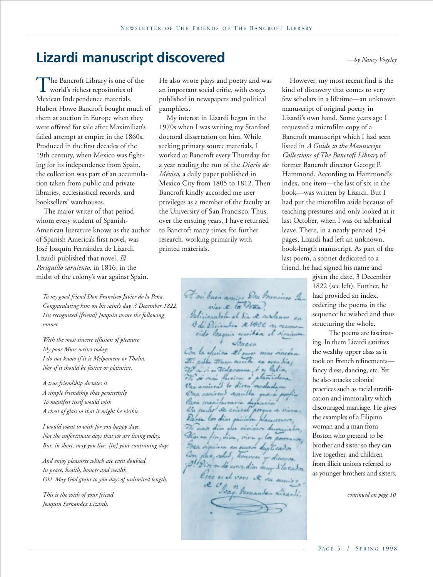### **Lizardi manuscript discovered** *—by Nancy Vogeley*

The Bancroft Library is one of the<br>world's richest repositories of<br>Mexican Independence materials world's richest repositories of Mexican Independence materials. Hubert Howe Bancroft bought much of them at auction in Europe when they were offered for sale after Maximilian's failed attempt at empire in the 1860s. Produced in the first decades of the 19th century, when Mexico was fighting for its independence from Spain, the collection was part of an accumulation taken from public and private libraries, ecclesiastical records, and booksellers' warehouses.

The major writer of that period, whom every student of Spanish-American literature knows as the author of Spanish America's first novel, was José Joaquín Fernández de Lizardi. Lizardi published that novel, *El Periquillo sarniento,* in 1816, in the midst of the colony's war against Spain.

*To my good friend Don Francisco Javier de la Peña. Congratulating him on his saint's day, 3 December 1822, His recognized [friend] Joaquin wrote the following sonnet*

*With the most sincere effusion of pleasure My poor Muse writes today; I do not know if it is Melpomene or Thalia, Nor if it should be festive or plaintive.*

*A true friendship dictates it A simple friendship that persistently To manifest itself would wish A chest of glass so that it might be visible.*

*I would want to wish for you happy days, Not the unfortunate days that we are living today. But, in short, may you live, [in] your continuing days*

*And enjoy pleasures which are even doubled In peace, health, honors and wealth. Oh! May God grant to you days of unlimited length.*

*This is the wish of your friend Joaquin Fernandez Lizardi.*

He also wrote plays and poetry and was an important social critic, with essays published in newspapers and political pamphlets.

My interest in Lizardi began in the 1970s when I was writing my Stanford doctoral dissertation on him. While seeking primary source materials, I worked at Bancroft every Thursday for a year reading the run of the *Diario de México*, a daily paper published in Mexico City from 1805 to 1812. Then Bancroft kindly accorded me user privileges as a member of the faculty at the University of San Francisco. Thus, over the ensuing years, I have returned to Bancroft many times for further research, working primarily with printed materials.

> Et mi buen amiss Den Brancisco La vier & la Pena Policionalela al Sia de raz Ade Diciembre & 1822 cido lozonia eseriban el Con la opision Al ouver mas or The right the in in allacomena, o as Palia, mirras lo dicra verda  $+$ milla Se court Daven los dias mining mon dias vivinos fin, vive, vive - los Tops riminary an ouver dualicados Con pac solut, honores O! Dios on de coron dias mur vu a

However, my most recent find is the kind of discovery that comes to very few scholars in a lifetime—an unknown manuscript of original poetry in Lizardi's own hand. Some years ago I requested a microfilm copy of a Bancroft manuscript which I had seen listed in *A Guide to the Manuscript Collections of The Bancroft Library* of former Bancroft director George P. Hammond. According to Hammond's index, one item—the last of six in the book—was written by Lizardi. But I had put the microfilm aside because of teaching pressures and only looked at it last October, when I was on sabbatical leave. There, in a neatly penned 154 pages, Lizardi had left an unknown, book-length manuscript. As part of the last poem, a sonnet dedicated to a friend, he had signed his name and

given the date, 3 December 1822 (see left). Further, he had provided an index, ordering the poems in the sequence he wished and thus structuring the whole.

The poems are fascinating. In them Lizardi satirizes the wealthy upper class as it took on French refinements fancy dress, dancing, etc. Yet he also attacks colonial practices such as racial stratification and immorality which discouraged marriage. He gives the examples of a Filipino woman and a man from Boston who pretend to be brother and sister so they can live together, and children from illicit unions referred to as younger brothers and sisters.

*continued on page 10*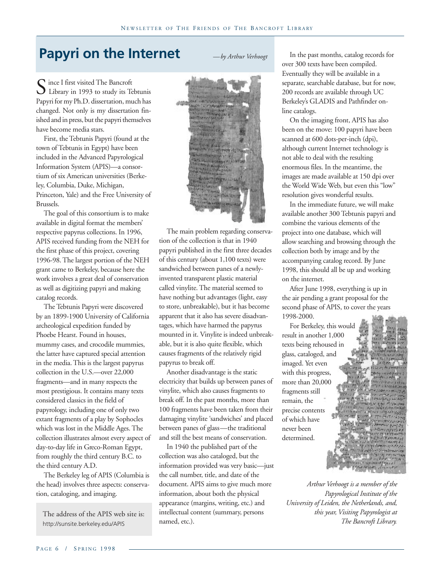*—by Arthur Verhoogt*

### **Papyri on the Internet**

Since I first visited The Bancroft<br>Library in 1993 to study its Te<br>Papyri for my Ph D dissertation, mu Library in 1993 to study its Tebtunis Papyri for my Ph.D. dissertation, much has changed. Not only is my dissertation finished and in press, but the papyri themselves have become media stars.

First, the Tebtunis Papyri (found at the town of Tebtunis in Egypt) have been included in the Advanced Papyrological Information System (APIS)—a consortium of six American universities (Berkeley, Columbia, Duke, Michigan, Princeton, Yale) and the Free University of Brussels.

The goal of this consortium is to make available in digital format the members' respective papyrus collections. In 1996, APIS received funding from the NEH for the first phase of this project, covering 1996-98. The largest portion of the NEH grant came to Berkeley, because here the work involves a great deal of conservation as well as digitizing papyri and making catalog records.

The Tebtunis Papyri were discovered by an 1899-1900 University of California archeological expedition funded by Phoebe Hearst. Found in houses, mummy cases, and crocodile mummies, the latter have captured special attention in the media. This is the largest papyrus collection in the U.S.—over 22,000 fragments—and in many respects the most prestigious. It contains many texts considered classics in the field of papyrology, including one of only two extant fragments of a play by Sophocles which was lost in the Middle Ages. The collection illustrates almost every aspect of day-to-day life in Greco-Roman Egypt, from roughly the third century B.C. to the third century A.D.

The Berkeley leg of APIS (Columbia is the head) involves three aspects: conservation, cataloging, and imaging.

The address of the APIS web site is: http://sunsite.berkeley.edu/APIS



The main problem regarding conservation of the collection is that in 1940 papyri published in the first three decades of this century (about 1,100 texts) were sandwiched between panes of a newlyinvented transparent plastic material called vinylite. The material seemed to have nothing but advantages (light, easy to store, unbreakable), but it has become apparent that it also has severe disadvantages, which have harmed the papyrus mounted in it. Vinylite is indeed unbreakable, but it is also quite flexible, which causes fragments of the relatively rigid papyrus to break off.

Another disadvantage is the static electricity that builds up between panes of vinylite, which also causes fragments to break off. In the past months, more than 100 fragments have been taken from their damaging vinylite 'sandwiches' and placed between panes of glass—the traditional and still the best means of conservation.

In 1940 the published part of the collection was also cataloged, but the information provided was very basic—just the call number, title, and date of the document. APIS aims to give much more information, about both the physical appearance (margins, writing, etc.) and intellectual content (summary, persons named, etc.).

In the past months, catalog records for over 300 texts have been compiled. Eventually they will be available in a separate, searchable database, but for now, 200 records are available through UC Berkeley's GLADIS and Pathfinder online catalogs.

On the imaging front, APIS has also been on the move: 100 papyri have been scanned at 600 dots-per-inch (dpi), although current Internet technology is not able to deal with the resulting enormous files. In the meantime, the images are made available at 150 dpi over the World Wide Web, but even this "low" resolution gives wonderful results.

In the immediate future, we will make available another 300 Tebtunis papyri and combine the various elements of the project into one database, which will allow searching and browsing through the collection both by image and by the accompanying catalog record. By June 1998, this should all be up and working on the internet.

After June 1998, everything is up in the air pending a grant proposal for the second phase of APIS, to cover the years 1998-2000.

For Berkeley, this would result in another 1,000 texts being rehoused in glass, cataloged, and imaged. Yet even with this progress, more than 20,000 fragments still remain, the precise contents of which have never been determined.

*Arthur Verhoogt is a member of the Papyrological Institute of the University of Leiden, the Netherlands, and, this year, Visiting Papyrologist at The Bancroft Library.*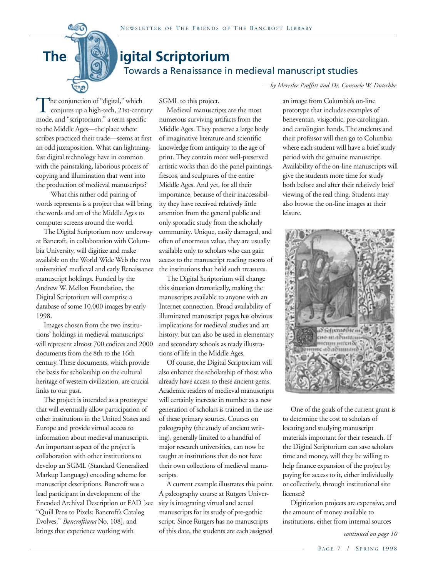## Towards a Renaissance in medieval manuscript studies **The digital Scriptorium**

*—by Merrilee Proffitt and Dr. Consuelo W. Dutschke*

The conjunction of "digital," which<br>conjures up a high-tech, 21st-cent<br>mode, and "scriptorium." a term specify conjures up a high-tech, 21st-century mode, and "scriptorium," a term specific to the Middle Ages—the place where scribes practiced their trade—seems at first an odd juxtaposition. What can lightningfast digital technology have in common with the painstaking, laborious process of copying and illumination that went into the production of medieval manuscripts?

What this rather odd pairing of words represents is a project that will bring the words and art of the Middle Ages to computer screens around the world.

The Digital Scriptorium now underway at Bancroft, in collaboration with Columbia University, will digitize and make available on the World Wide Web the two universities' medieval and early Renaissance manuscript holdings. Funded by the Andrew W. Mellon Foundation, the Digital Scriptorium will comprise a database of some 10,000 images by early 1998.

Images chosen from the two institutions' holdings in medieval manuscripts will represent almost 700 codices and 2000 documents from the 8th to the 16th century. These documents, which provide the basis for scholarship on the cultural heritage of western civilization, are crucial links to our past.

The project is intended as a prototype that will eventually allow participation of other institutions in the United States and Europe and provide virtual access to information about medieval manuscripts. An important aspect of the project is collaboration with other institutions to develop an SGML (Standard Generalized Markup Language) encoding scheme for manuscript descriptions. Bancroft was a lead participant in development of the Encoded Archival Description or EAD [see "Quill Pens to Pixels: Bancroft's Catalog Evolves," *Bancroftiana* No. 108], and brings that experience working with

SGML to this project.

Medieval manuscripts are the most numerous surviving artifacts from the Middle Ages. They preserve a large body of imaginative literature and scientific knowledge from antiquity to the age of print. They contain more well-preserved artistic works than do the panel paintings, frescos, and sculptures of the entire Middle Ages. And yet, for all their importance, because of their inaccessibility they have received relatively little attention from the general public and only sporadic study from the scholarly community. Unique, easily damaged, and often of enormous value, they are usually available only to scholars who can gain access to the manuscript reading rooms of the institutions that hold such treasures.

The Digital Scriptorium will change this situation dramatically, making the manuscripts available to anyone with an Internet connection. Broad availability of illuminated manuscript pages has obvious implications for medieval studies and art history, but can also be used in elementary and secondary schools as ready illustrations of life in the Middle Ages.

Of course, the Digital Scriptorium will also enhance the scholarship of those who already have access to these ancient gems. Academic readers of medieval manuscripts will certainly increase in number as a new generation of scholars is trained in the use of these primary sources. Courses on paleography (the study of ancient writing), generally limited to a handful of major research universities, can now be taught at institutions that do not have their own collections of medieval manuscripts.

A current example illustrates this point. A paleography course at Rutgers University is integrating virtual and actual manuscripts for its study of pre-gothic script. Since Rutgers has no manuscripts of this date, the students are each assigned

an image from Columbia's on-line prototype that includes examples of beneventan, visigothic, pre-carolingian, and carolingian hands. The students and their professor will then go to Columbia where each student will have a brief study period with the genuine manuscript. Availability of the on-line manuscripts will give the students more time for study both before and after their relatively brief viewing of the real thing. Students may also browse the on-line images at their leisure.



One of the goals of the current grant is to determine the cost to scholars of locating and studying manuscript materials important for their research. If the Digital Scriptorium can save scholars time and money, will they be willing to help finance expansion of the project by paying for access to it, either individually or collectively, through institutional site licenses?

Digitization projects are expensive, and the amount of money available to institutions, either from internal sources

*continued on page 10*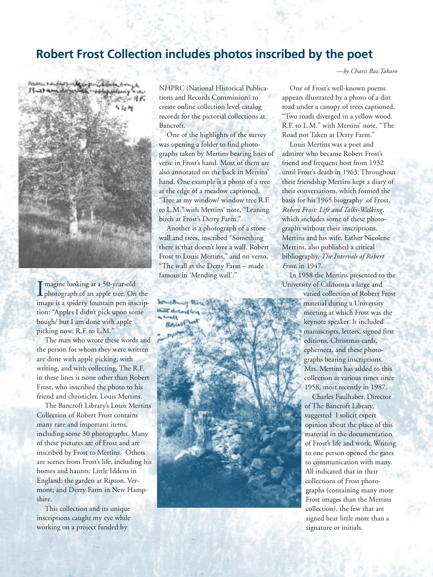### **Robert Frost Collection includes photos inscribed by the poet**

N EWSLETTER O F T H E F RIENDS O F T H E B ANCROFT L IBRARY



 $\prod_{\mathsf{im}}$ magine looking at a 50-year-old photograph of an apple tree. On the image is a spidery fountain pen inscription: "Apples I didn't pick upon some bough/ but I am done with apple picking now. R.F. to L.M."

The man who wrote these words and the person for whom they were written are done with apple picking, with writing, and with collecting. The R.F. in these lines is none other than Robert Frost, who inscribed the photo to his friend and chronicler, Louis Mertins.

The Bancroft Library's Louis Mertins Collection of Robert Frost contains many rare and important items, including some 30 photographs. Many of these pictures are of Frost and are inscribed by Frost to Mertins. Others are scenes from Frost's life, including his homes and haunts: Little Iddens in England; the garden at Ripton, Vermont; and Derry Farm in New Hampshire.

This collection and its unique inscriptions caught my eye while working on a project funded by

P AGE 8 / S PRING 1998

NHPRC (National Historical Publications and Records Commission) to create online collection level catalog records for the pictorial collections at Bancroft.

One of the highlights of the survey was opening a folder to find photographs taken by Mertins bearing lines of verse in Frost's hand. Most of them are also annotated on the back in Mertins' hand. One example is a photo of a tree at the edge of a meadow captioned, "Tree at my window/ window tree R.F. to L.M." with Mertins' note, "Leaning birch at Frost's Derry Farm."

Another is a photograph of a stone wall and trees, inscribed "Something there is that doesn't love a wall. Robert Frost to Louis Mertins," and on verso, "The wall at the Derry Farm – made famous in 'Mending wall'."

John Bruns there there due ut t



*—by Charis Baz Takaro*

One of Frost's well-known poems appears illustrated by a photo of a dirt road under a canopy of trees captioned, "Two roads diverged in a yellow wood. R.F. to L.M." with Mertins' note, "The Road not Taken at Derry Farm."

Louis Mertins was a poet and admirer who became Robert Frost's friend and frequent host from 1932 until Frost's death in 1963. Throughout their friendship Mertins kept a diary of their conversations, which formed the basis for his 1965 biography of Frost, *Robert Frost: Life and Talks-Walking,* which includes some of these photographs without their inscriptions. Mertins and his wife, Esther Nicolene Mertins, also published a critical bibliography, *The Intervals of Robert Frost,* in 1947.

In 1958 the Mertins presented to the University of California a large and

> varied collection of Robert Frost material during a University meeting at which Frost was the keynote speaker. It included manuscripts, letters, signed first editions, Christmas cards, ephemera, and these photographs bearing inscriptions. Mrs. Mertins has added to this collection at various times since 1958, most recently in 1987.

 Charles Faulhaber, Director of The Bancroft Library, suggested I solicit expert opinion about the place of this material in the documentation of Frost's life and work. Writing to one person opened the gates to communication with many. All indicated that in their collections of Frost photographs (containing many more Frost images than the Mertins collection), the few that are signed bear little more than a signature or initials.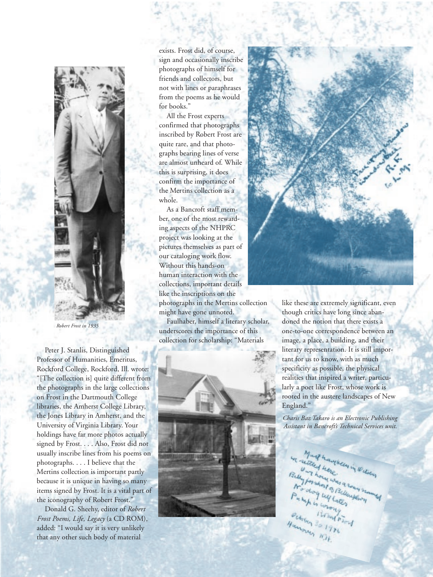

*Robert Frost in 1935*

Peter J. Stanlis, Distinguished Professor of Humanities, Emeritus, Rockford College, Rockford, Ill. wrote: "[The collection is] quite different from the photographs in the large collections on Frost in the Dartmouth College libraries, the Amherst College Library, the Jones Library in Amherst, and the University of Virginia Library. Your holdings have far more photos actually signed by Frost. . . . Also, Frost did not usually inscribe lines from his poems on photographs. . . . I believe that the Mertins collection is important partly because it is unique in having so many items signed by Frost. It is a vital part of the iconography of Robert Frost.'

Donald G. Sheehy, editor of *Robert Frost Poems, Life, Legacy* (a CD ROM), added: "I would say it is very unlikely that any other such body of material

exists. Frost did, of course, sign and occasionally inscribe photographs of himself for friends and collectors, but not with lines or paraphrases from the poems as he would for books."

N EWSTER O F T H EWSLETTER O F T H ENDS

All the Frost experts confirmed that photographs inscribed by Robert Frost are quite rare, and that photographs bearing lines of verse are almost unheard of. While this is surprising, it does confirm the importance of the Mertins collection as a whole.

As a Bancroft staff member, one of the most rewarding aspects of the NHPRC project was looking at the pictures themselves as part of our cataloging work flow. Without this hands-on human interaction with the collections, important details like the inscriptions on the photographs in the Mertins collection might have gone unnoted.

Faulhaber, himself a literary scholar, underscores the importance of this collection for scholarship: "Materials





like these are extremely significant, even though critics have long since abandoned the notion that there exists a one-to-one correspondence between an image, a place, a building, and their literary representation. It is still important for us to know, with as much specificity as possible, the physical realities that inspired a writer, particularly a poet like Frost, whose work is rooted in the austere landscapes of New England."

*Charis Baz Takaro is an Electronic Publishing Assistant in Bancroft's Technical Services unit.*

yucin

PAGE 9 / S PRING 1998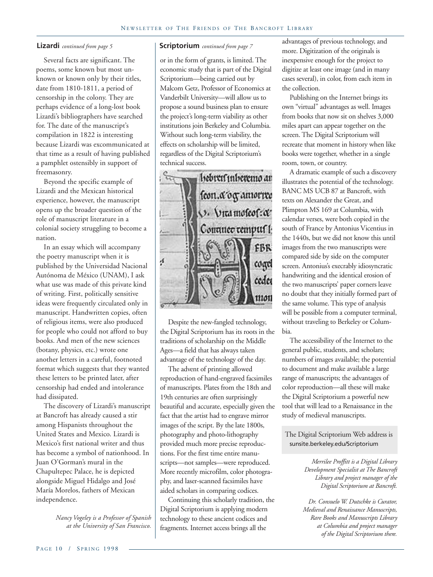Several facts are significant. The poems, some known but most unknown or known only by their titles, date from 1810-1811, a period of censorship in the colony. They are perhaps evidence of a long-lost book Lizardi's bibliographers have searched for. The date of the manuscript's compilation in 1822 is interesting because Lizardi was excommunicated at that time as a result of having published a pamphlet ostensibly in support of freemasonry.

Beyond the specific example of Lizardi and the Mexican historical experience, however, the manuscript opens up the broader question of the role of manuscript literature in a colonial society struggling to become a nation.

In an essay which will accompany the poetry manuscript when it is published by the Universidad Nacional Autónoma de México (UNAM), I ask what use was made of this private kind of writing. First, politically sensitive ideas were frequently circulated only in manuscript. Handwritten copies, often of religious items, were also produced for people who could not afford to buy books. And men of the new sciences (botany, physics, etc.) wrote one another letters in a careful, footnoted format which suggests that they wanted these letters to be printed later, after censorship had ended and intolerance had dissipated.

The discovery of Lizardi's manuscript at Bancroft has already caused a stir among Hispanists throughout the United States and Mexico. Lizardi is Mexico's first national writer and thus has become a symbol of nationhood. In Juan O'Gorman's mural in the Chapultepec Palace, he is depicted alongside Miguel Hidalgo and José María Morelos, fathers of Mexican independence.

> *Nancy Vogeley is a Professor of Spanish at the University of San Francisco.*

### **Lizardi** *continued from page 5* **Scriptorium** *continued from page 7*

or in the form of grants, is limited. The economic study that is part of the Digital Scriptorium—being carried out by Malcom Getz, Professor of Economics at Vanderbilt University—will allow us to propose a sound business plan to ensure the project's long-term viability as other institutions join Berkeley and Columbia. Without such long-term viability, the effects on scholarship will be limited, regardless of the Digital Scriptorium's technical success.



Despite the new-fangled technology, the Digital Scriptorium has its roots in the traditions of scholarship on the Middle Ages—a field that has always taken advantage of the technology of the day.

The advent of printing allowed reproduction of hand-engraved facsimiles of manuscripts. Plates from the 18th and 19th centuries are often surprisingly beautiful and accurate, especially given the fact that the artist had to engrave mirror images of the script. By the late 1800s, photography and photo-lithography provided much more precise reproductions. For the first time entire manuscripts—not samples—were reproduced. More recently microfilm, color photography, and laser-scanned facsimiles have aided scholars in comparing codices.

Continuing this scholarly tradition, the Digital Scriptorium is applying modern technology to these ancient codices and fragments. Internet access brings all the

advantages of previous technology, and more. Digitization of the originals is inexpensive enough for the project to digitize at least one image (and in many cases several), in color, from each item in the collection.

Publishing on the Internet brings its own "virtual" advantages as well. Images from books that now sit on shelves 3,000 miles apart can appear together on the screen. The Digital Scriptorium will recreate that moment in history when like books were together, whether in a single room, town, or country.

A dramatic example of such a discovery illustrates the potential of the technology. BANC MS UCB 87 at Bancroft, with texts on Alexander the Great, and Plimpton MS 169 at Columbia, with calendar verses, were both copied in the south of France by Antonius Vicentius in the 1440s, but we did not know this until images from the two manuscripts were compared side by side on the computer screen. Antonius's execrably idiosyncratic handwriting and the identical erosion of the two manuscripts' paper corners leave no doubt that they initially formed part of the same volume. This type of analysis will be possible from a computer terminal, without traveling to Berkeley or Columbia.

The accessibility of the Internet to the general public, students, and scholars; numbers of images available; the potential to document and make available a large range of manuscripts; the advantages of color reproduction—all these will make the Digital Scriptorium a powerful new tool that will lead to a Renaissance in the study of medieval manuscripts.

 The Digital Scriptorium Web address is sunsite.berkeley.edu/Scriptorium

> *Merrilee Proffitt is a Digital Library Development Specialist at The Bancroft Library and project manager of the Digital Scriptorium at Bancroft.*

*Dr. Consuelo W. Dutschke is Curator, Medieval and Renaissance Manuscripts, Rare Books and Manuscripts Library at Columbia and project manager of the Digital Scriptorium there.*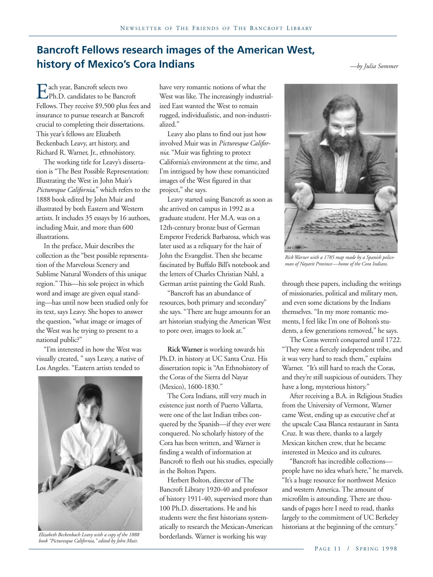### **Bancroft Fellows research images of the American West, history of Mexico's Cora Indians** *—by Julia Sommer*

Each year, Bancroft selects two<br>Ph.D. candidates to be Bancr<br>Fellows They receive \$9.500 plus Ph.D. candidates to be Bancroft Fellows. They receive \$9,500 plus fees and insurance to pursue research at Bancroft crucial to completing their dissertations. This year's fellows are Elizabeth Beckenbach Leavy, art history, and Richard R. Warner, Jr., ethnohistory.

The working title for Leavy's dissertation is "The Best Possible Representation: Illustrating the West in John Muir's *Picturesque California*," which refers to the 1888 book edited by John Muir and illustrated by both Eastern and Western artists. It includes 35 essays by 16 authors, including Muir, and more than 600 illustrations.

In the preface, Muir describes the collection as the "best possible representation of the Marvelous Scenery and Sublime Natural Wonders of this unique region." This—his sole project in which word and image are given equal standing—has until now been studied only for its text, says Leavy. She hopes to answer the question, "what image or images of the West was he trying to present to a national public?"

"I'm interested in how the West was visually created, " says Leavy, a native of Los Angeles. "Eastern artists tended to



*Elizabeth Beckenbach Leavy with a copy of the 1888 book "Picturesque California," edited by John Muir.*

have very romantic notions of what the West was like. The increasingly industrialized East wanted the West to remain rugged, individualistic, and non-industrialized."

Leavy also plans to find out just how involved Muir was in *Picturesque California*. "Muir was fighting to protect California's environment at the time, and I'm intrigued by how these romanticized images of the West figured in that project," she says.

Leavy started using Bancroft as soon as she arrived on campus in 1992 as a graduate student. Her M.A. was on a 12th-century bronze bust of German Emperor Frederick Barbarosa, which was later used as a reliquary for the hair of John the Evangelist. Then she became fascinated by Buffalo Bill's notebook and the letters of Charles Christian Nahl, a German artist painting the Gold Rush.

"Bancroft has an abundance of resources, both primary and secondary" she says. "There are huge amounts for an art historian studying the American West to pore over, images to look at."

**Rick Warner** is working towards his Ph.D. in history at UC Santa Cruz. His dissertation topic is "An Ethnohistory of the Coras of the Sierra del Nayar (Mexico), 1600-1830."

The Cora Indians, still very much in existence just north of Puerto Vallarta, were one of the last Indian tribes conquered by the Spanish—if they ever were conquered. No scholarly history of the Cora has been written, and Warner is finding a wealth of information at Bancroft to flesh out his studies, especially in the Bolton Papers.

Herbert Bolton, director of The Bancroft Library 1920-40 and professor of history 1911-40, supervised more than 100 Ph.D. dissertations. He and his students were the first historians systematically to research the Mexican-American borderlands. Warner is working his way



*Rick Warner with a 1785 map made by a Spanish policeman of Nayarit Province—home of the Cora Indians.*

through these papers, including the writings of missionaries, political and military men, and even some dictations by the Indians themselves. "In my more romantic moments, I feel like I'm one of Bolton's students, a few generations removed," he says.

The Coras weren't conquered until 1722. "They were a fiercely independent tribe, and it was very hard to reach them," explains Warner. "It's still hard to reach the Coras, and they're still suspicious of outsiders. They have a long, mysterious history."

After receiving a B.A. in Religious Studies from the University of Vermont, Warner came West, ending up as executive chef at the upscale Casa Blanca restaurant in Santa Cruz. It was there, thanks to a largely Mexican kitchen crew, that he became interested in Mexico and its cultures.

"Bancroft has incredible collections people have no idea what's here," he marvels. "It's a huge resource for northwest Mexico and western America. The amount of microfilm is astounding. There are thousands of pages here I need to read, thanks largely to the commitment of UC Berkeley historians at the beginning of the century."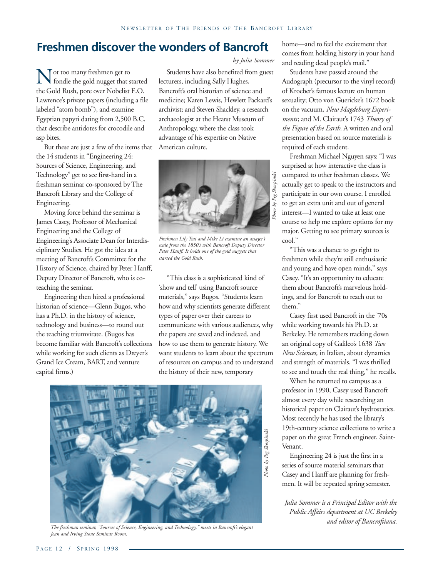### **Freshmen discover the wonders of Bancroft**

Not too many freshmen get to<br>fondle the gold nugget that s<br>the Gold Rush, pore over Nobelist fondle the gold nugget that started the Gold Rush, pore over Nobelist E.O. Lawrence's private papers (including a file labeled "atom bomb"), and examine Egyptian papyri dating from 2,500 B.C. that describe antidotes for crocodile and asp bites.

But these are just a few of the items that the 14 students in "Engineering 24: Sources of Science, Engineering, and Technology" get to see first-hand in a freshman seminar co-sponsored by The Bancroft Library and the College of Engineering.

Moving force behind the seminar is James Casey, Professor of Mechanical Engineering and the College of Engineering's Associate Dean for Interdisciplinary Studies. He got the idea at a meeting of Bancroft's Committee for the History of Science, chaired by Peter Hanff, Deputy Director of Bancroft, who is coteaching the seminar.

Engineering then hired a professional historian of science—Glenn Bugos, who has a Ph.D. in the history of science, technology and business—to round out the teaching triumvirate. (Bugos has become familiar with Bancroft's collections while working for such clients as Dreyer's Grand Ice Cream, BART, and venture capital firms.)

*—by Julia Sommer*

Students have also benefited from guest lecturers, including Sally Hughes, Bancroft's oral historian of science and medicine; Karen Lewis, Hewlett Packard's archivist; and Steven Shackley, a research archaeologist at the Hearst Museum of Anthropology, where the class took advantage of his expertise on Native American culture.



*Freshmen Lily Tsai and Mike Li examine an assayer's scale from the 1850's with Bancroft Deputy Director Peter Hanff. It holds one of the gold nuggets that started the Gold Rush.*

"This class is a sophisticated kind of 'show and tell' using Bancroft source materials," says Bugos. "Students learn how and why scientists generate different types of paper over their careers to communicate with various audiences, why the papers are saved and indexed, and how to use them to generate history. We want students to learn about the spectrum of resources on campus and to understand the history of their new, temporary



*The freshman seminar, "Sources of Science, Engineering, and Technology," meets in Bancroft's elegant Jean and Irving Stone Seminar Room.*

home—and to feel the excitement that comes from holding history in your hand and reading dead people's mail."

Students have passed around the Audograph (precursor to the vinyl record) of Kroeber's famous lecture on human sexuality; Otto von Guericke's 1672 book on the vacuum, *New Magdeburg Experiments*; and M. Clairaut's 1743 *Theory of the Figure of the Earth.* A written and oral presentation based on source materials is required of each student.

Freshman Michael Nguyen says: "I was surprised at how interactive the class is compared to other freshman classes. We actually get to speak to the instructors and participate in our own course. I enrolled to get an extra unit and out of general interest—I wanted to take at least one course to help me explore options for my major. Getting to see primary sources is cool."

"This was a chance to go right to freshmen while they're still enthusiastic and young and have open minds," says Casey. "It's an opportunity to educate them about Bancroft's marvelous holdings, and for Bancroft to reach out to them."

Casey first used Bancroft in the '70s while working towards his Ph.D. at Berkeley. He remembers tracking down an original copy of Galileo's 1638 *Two New Sciences,* in Italian, about dynamics and strength of materials. "I was thrilled to see and touch the real thing," he recalls.

When he returned to campus as a professor in 1990, Casey used Bancroft almost every day while researching an historical paper on Clairaut's hydrostatics. Most recently he has used the library's 19th-century science collections to write a paper on the great French engineer, Saint-Venant.

Engineering 24 is just the first in a series of source material seminars that Casey and Hanff are planning for freshmen. It will be repeated spring semester.

*Julia Sommer is a Principal Editor with the Public Affairs department at UC Berkeley and editor of Bancroftiana.*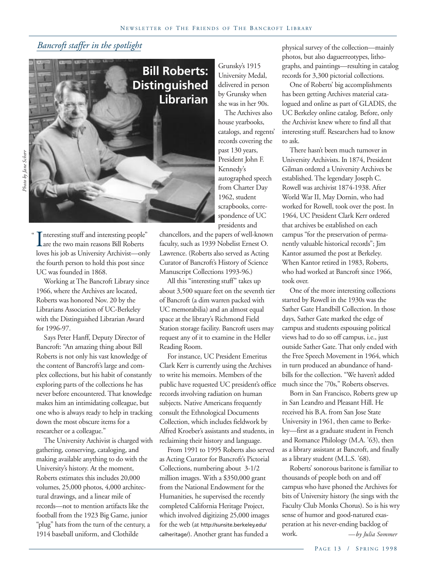### *Bancroft staffer in the spotlight*



Interesting stuff and interesting people"<br>
are the two main reasons Bill Roberts<br>
loves his job as University Archivist—only nteresting stuff and interesting people" Lare the two main reasons Bill Roberts the fourth person to hold this post since UC was founded in 1868.

Working at The Bancroft Library since 1966, where the Archives are located, Roberts was honored Nov. 20 by the Librarians Association of UC-Berkeley with the Distinguished Librarian Award for 1996-97.

Says Peter Hanff, Deputy Director of Bancroft: "An amazing thing about Bill Roberts is not only his vast knowledge of the content of Bancroft's large and complex collections, but his habit of constantly exploring parts of the collections he has never before encountered. That knowledge makes him an intimidating colleague, but one who is always ready to help in tracking down the most obscure items for a researcher or a colleague."

The University Archivist is charged with gathering, conserving, cataloging, and making available anything to do with the University's history. At the moment, Roberts estimates this includes 20,000 volumes, 25,000 photos, 4,000 architectural drawings, and a linear mile of records—not to mention artifacts like the football from the 1923 Big Game, junior "plug" hats from the turn of the century, a 1914 baseball uniform, and Clothilde

Grunsky's 1915 University Medal, delivered in person by Grunsky when she was in her 90s.

The Archives also house yearbooks, catalogs, and regents' records covering the past 130 years, President John F. Kennedy's autographed speech from Charter Day 1962, student scrapbooks, correspondence of UC presidents and

chancellors, and the papers of well-known faculty, such as 1939 Nobelist Ernest O. Lawrence. (Roberts also served as Acting Curator of Bancroft's History of Science Manuscript Collections 1993-96.)

All this "interesting stuff" takes up about 3,500 square feet on the seventh tier of Bancroft (a dim warren packed with UC memorabilia) and an almost equal space at the library's Richmond Field Station storage facility. Bancroft users may request any of it to examine in the Heller Reading Room.

For instance, UC President Emeritus Clark Kerr is currently using the Archives to write his memoirs. Members of the public have requested UC president's office records involving radiation on human subjects. Native Americans frequently consult the Ethnological Documents Collection, which includes fieldwork by Alfred Kroeber's assistants and students, in reclaiming their history and language.

From 1991 to 1995 Roberts also served as Acting Curator for Bancroft's Pictorial Collections, numbering about 3-1/2 million images. With a \$350,000 grant from the National Endowment for the Humanities, he supervised the recently completed California Heritage Project, which involved digitizing 25,000 images for the web (at http://sunsite.berkeley.edu/ calheritage/). Another grant has funded a

physical survey of the collection—mainly photos, but also daguerreotypes, lithographs, and paintings—resulting in catalog records for 3,300 pictorial collections.

One of Roberts' big accomplishments has been getting Archives material catalogued and online as part of GLADIS, the UC Berkeley online catalog. Before, only the Archivist knew where to find all that interesting stuff. Researchers had to know to ask.

There hasn't been much turnover in University Archivists. In 1874, President Gilman ordered a University Archives be established. The legendary Joseph C. Rowell was archivist 1874-1938. After World War II, May Dornin, who had worked for Rowell, took over the post. In 1964, UC President Clark Kerr ordered that archives be established on each campus "for the preservation of permanently valuable historical records"; Jim Kantor assumed the post at Berkeley. When Kantor retired in 1983, Roberts, who had worked at Bancroft since 1966, took over.

One of the more interesting collections started by Rowell in the 1930s was the Sather Gate Handbill Collection. In those days, Sather Gate marked the edge of campus and students espousing political views had to do so off campus, i.e., just outside Sather Gate. That only ended with the Free Speech Movement in 1964, which in turn produced an abundance of handbills for the collection. "We haven't added much since the '70s," Roberts observes.

Born in San Francisco, Roberts grew up in San Leandro and Pleasant Hill. He received his B.A. from San Jose State University in 1961, then came to Berkeley—first as a graduate student in French and Romance Philology (M.A. '63), then as a library assistant at Bancroft, and finally as a library student (M.L.S. '68).

*—by Julia Sommer* Roberts' sonorous baritone is familiar to thousands of people both on and off campus who have phoned the Archives for bits of University history (he sings with the Faculty Club Monks Chorus). So is his wry sense of humor and good-natured exasperation at his never-ending backlog of work.

"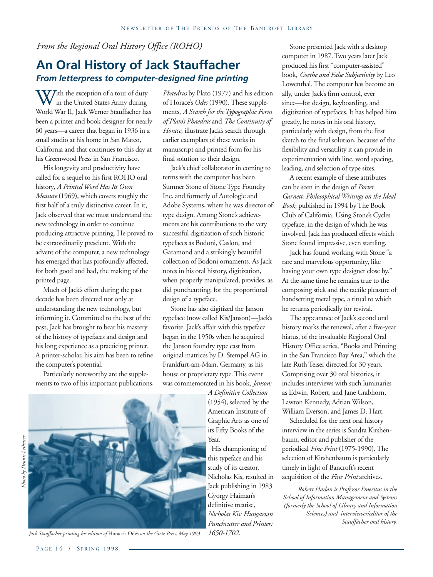### *From the Regional Oral History Office (ROHO)*

### **An Oral History of Jack Stauffacher** *From letterpress to computer-designed fine printing*

With the exception of a tour of duty<br>in the United States Army during<br>World War II. Jack Werner Stauffacher ha in the United States Army during World War II, Jack Werner Stauffacher has been a printer and book designer for nearly 60 years—a career that began in 1936 in a small studio at his home in San Mateo, California and that continues to this day at his Greenwood Press in San Francisco.

His longevity and productivity have called for a sequel to his first ROHO oral history, *A Printed Word Has Its Own Measure* (1969), which covers roughly the first half of a truly distinctive career. In it, Jack observed that we must understand the new technology in order to continue producing attractive printing. He proved to be extraordinarily prescient. With the advent of the computer, a new technology has emerged that has profoundly affected, for both good and bad, the making of the printed page.

Much of Jack's effort during the past decade has been directed not only at understanding the new technology, but informing it. Committed to the best of the past, Jack has brought to bear his mastery of the history of typefaces and design and his long experience as a practicing printer. A printer-scholar, his aim has been to refine the computer's potential.

Particularly noteworthy are the supplements to two of his important publications,

*Phaedrus* by Plato (1977) and his edition of Horace's *Odes* (1990). These supplements, *A Search for the Typographic Form of Plato's Phaedrus* and *The Continuity of Horace*, illustrate Jack's search through earlier exemplars of these works in manuscript and printed form for his final solution to their design.

Jack's chief collaborator in coming to terms with the computer has been Sumner Stone of Stone Type Foundry Inc. and formerly of Autologic and Adobe Systems, where he was director of type design. Among Stone's achievements are his contributions to the very successful digitization of such historic typefaces as Bodoni, Caslon, and Garamond and a strikingly beautiful collection of Bodoni ornaments. As Jack notes in his oral history, digitization, when properly manipulated, provides, as did punchcutting, for the proportional design of a typeface.

Stone has also digitized the Janson typeface (now called Kis/Janson)—Jack's favorite. Jack's affair with this typeface began in the 1950s when he acquired the Janson foundry type cast from original matrices by D. Stempel AG in Frankfurt-am-Main, Germany, as his house or proprietary type. This event was commemorated in his book, *Janson:*

*A Definitive Collection* (1954), selected by the American Institute of Graphic Arts as one of its Fifty Books of the Year.

 His championing of this typeface and his study of its creator, Nicholas Kis, resulted in Jack publishing in 1983 Gyorgy Haiman's definitive treatise, *Nicholas Kis: Hungarian Punchcutter and Printer: 1650-1702.*

Stone presented Jack with a desktop computer in 1987. Two years later Jack produced his first "computer-assisted" book, *Goethe and False Subjectivity* by Leo Lowenthal. The computer has become an ally, under Jack's firm control, ever since—for design, keyboarding, and digitization of typefaces. It has helped him greatly, he notes in his oral history, particularly with design, from the first sketch to the final solution, because of the flexibility and versatility it can provide in experimentation with line, word spacing, leading, and selection of type sizes.

A recent example of these attributes can be seen in the design of *Porter Garnett: Philosophical Writings on the Ideal Book,* published in 1994 by The Book Club of California. Using Stone's Cycles typeface, in the design of which he was involved, Jack has produced effects which Stone found impressive, even startling.

Jack has found working with Stone "a rare and marvelous opportunity, like having your own type designer close by." At the same time he remains true to the composing stick and the tactile pleasure of handsetting metal type, a ritual to which he returns periodically for revival.

The appearance of Jack's second oral history marks the renewal, after a five-year hiatus, of the invaluable Regional Oral History Office series, "Books and Printing in the San Francisco Bay Area," which the late Ruth Teiser directed for 30 years. Comprising over 30 oral histories, it includes interviews with such luminaries as Edwin, Robert, and Jane Grabhorn, Lawton Kennedy, Adrian Wilson, William Everson, and James D. Hart.

Scheduled for the next oral history interview in the series is Sandra Kirshenbaum, editor and publisher of the periodical *Fine Print* (1975-1990). The selection of Kirshenbaum is particularly timely in light of Bancroft's recent acquisition of the *Fine Print* archives.

*Robert Harlan is Professor Emeritus in the School of Information Management and Systems (formerly the School of Library and Information Sciences) and interviewer/editor of the Stauffacher oral history.*



*Jack Stauffacher printing his edition of* Horace's Odes *on the Gietz Press, May 1993*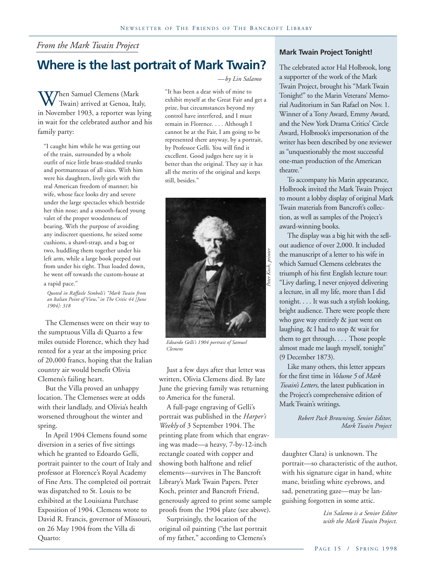### *From the Mark Twain Project*

### **Where is the last portrait of Mark Twain?**

When Samuel Clemens (Mark<br>Twain) arrived at Genoa, Ita<br>in November 1903, a reporter was l Twain) arrived at Genoa, Italy, in November 1903, a reporter was lying in wait for the celebrated author and his family party:

"I caught him while he was getting out of the train, surrounded by a whole outfit of nice little brass-studded trunks and portmanteaus of all sizes. With him were his daughters, lively girls with the real American freedom of manner; his wife, whose face looks dry and severe under the large spectacles which bestride her thin nose; and a smooth-faced young valet of the proper woodenness of bearing. With the purpose of avoiding any indiscreet questions, he seized some cushions, a shawl-strap, and a bag or two, huddling them together under his left arm, while a large book peeped out from under his right. Thus loaded down, he went off towards the custom-house at a rapid pace."

*Quoted in Raffaele Simboli's "Mark Twain from an Italian Point of View," in The Critic 44 [June 1904]: 318*

The Clemenses were on their way to the sumptuous Villa di Quarto a few miles outside Florence, which they had rented for a year at the imposing price of 20,000 francs, hoping that the Italian country air would benefit Olivia Clemens's failing heart.

But the Villa proved an unhappy location. The Clemenses were at odds with their landlady, and Olivia's health worsened throughout the winter and spring.

In April 1904 Clemens found some diversion in a series of five sittings which he granted to Edoardo Gelli, portrait painter to the court of Italy and professor at Florence's Royal Academy of Fine Arts. The completed oil portrait was dispatched to St. Louis to be exhibited at the Louisiana Purchase Exposition of 1904. Clemens wrote to David R. Francis, governor of Missouri, on 26 May 1904 from the Villa di Quarto:

### *—by Lin Salamo*

"It has been a dear wish of mine to exhibit myself at the Great Fair and get a prize, but circumstances beyond my control have interfered, and I must remain in Florence. . . . Although I cannot be at the Fair, I am going to be represented there anyway, by a portrait, by Professor Gelli. You will find it excellent. Good judges here say it is better than the original. They say it has all the merits of the original and keeps still, besides."



*Edoardo Gelli's 1904 portrait of Samuel Clemens*

Just a few days after that letter was written, Olivia Clemens died. By late June the grieving family was returning to America for the funeral.

A full-page engraving of Gelli's portrait was published in the *Harper's Weekly* of 3 September 1904. The printing plate from which that engraving was made—a heavy, 7-by-12-inch rectangle coated with copper and showing both halftone and relief elements—survives in The Bancroft Library's Mark Twain Papers. Peter Koch, printer and Bancroft Friend, generously agreed to print some sample proofs from the 1904 plate (see above).

Surprisingly, the location of the original oil painting ("the last portrait of my father," according to Clemens's

### **Mark Twain Project Tonight!**

The celebrated actor Hal Holbrook, long a supporter of the work of the Mark Twain Project, brought his "Mark Twain Tonight!" to the Marin Veterans' Memorial Auditorium in San Rafael on Nov. 1. Winner of a Tony Award, Emmy Award, and the New York Drama Critics' Circle Award, Holbrook's impersonation of the writer has been described by one reviewer as "unquestionably the most successful one-man production of the American theatre."

To accompany his Marin appearance, Holbrook invited the Mark Twain Project to mount a lobby display of original Mark Twain materials from Bancroft's collection, as well as samples of the Project's award-winning books.

The display was a big hit with the sellout audience of over 2,000. It included the manuscript of a letter to his wife in which Samuel Clemens celebrates the triumph of his first English lecture tour: "Livy darling, I never enjoyed delivering a lecture, in all my life, more than I did tonight. . . . It was such a stylish looking, bright audience. There were people there who gave way entirely & just went on laughing, & I had to stop & wait for them to get through. . . . Those people almost made me laugh myself, tonight" (9 December 1873).

Like many others, this letter appears for the first time in *Volume 5* of *Mark Twain's Letters*, the latest publication in the Project's comprehensive edition of Mark Twain's writings.

> *Robert Pack Browning, Senior Editor, Mark Twain Project*

daughter Clara) is unknown. The portrait—so characteristic of the author, with his signature cigar in hand, white mane, bristling white eyebrows, and sad, penetrating gaze—may be languishing forgotten in some attic.

> *Lin Salamo is a Senior Editor with the Mark Twain Project.*